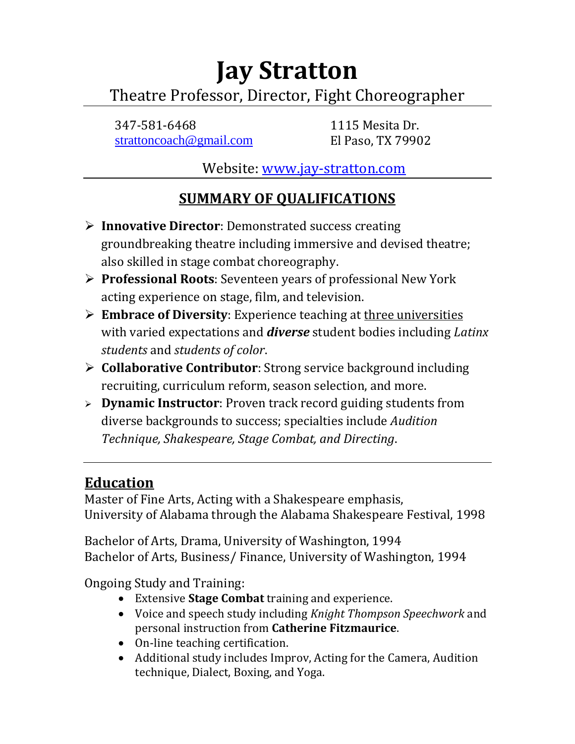# **Jay Stratton** Theatre Professor, Director, Fight Choreographer

347-581-6468 1115 Mesita Dr. [strattoncoach@gmail.com](mailto:strattoncoach@gmail.com) El Paso, TX 79902

Website: [www.jay-stratton.com](http://www.jay-stratton.com/)

## **SUMMARY OF QUALIFICATIONS**

- **Innovative Director**: Demonstrated success creating groundbreaking theatre including immersive and devised theatre; also skilled in stage combat choreography.
- **Professional Roots**: Seventeen years of professional New York acting experience on stage, film, and television.
- **Embrace of Diversity**: Experience teaching at three universities with varied expectations and *diverse* student bodies including *Latinx students* and *students of color*.
- **Collaborative Contributor**: Strong service background including recruiting, curriculum reform, season selection, and more.
- **Dynamic Instructor**: Proven track record guiding students from diverse backgrounds to success; specialties include *Audition Technique, Shakespeare, Stage Combat, and Directing*.

## **Education**

Master of Fine Arts, Acting with a Shakespeare emphasis, University of Alabama through the Alabama Shakespeare Festival, 1998

Bachelor of Arts, Drama, University of Washington, 1994 Bachelor of Arts, Business/ Finance, University of Washington, 1994

Ongoing Study and Training:

- Extensive **Stage Combat** training and experience.
- Voice and speech study including *Knight Thompson Speechwork* and personal instruction from **Catherine Fitzmaurice**.
- On-line teaching certification.
- Additional study includes Improv, Acting for the Camera, Audition technique, Dialect, Boxing, and Yoga.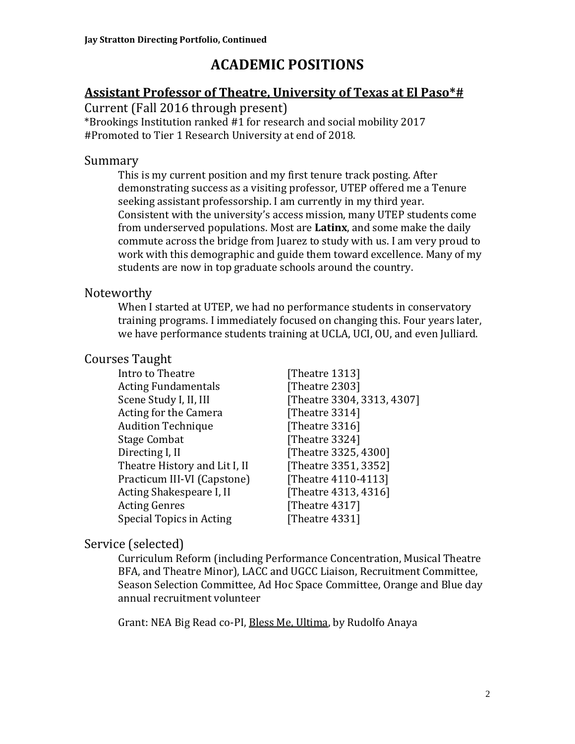## **ACADEMIC POSITIONS**

### **Assistant Professor of Theatre, University of Texas at El Paso\*#**

Current (Fall 2016 through present)

\*Brookings Institution ranked #1 for research and social mobility 2017 #Promoted to Tier 1 Research University at end of 2018.

#### Summary

This is my current position and my first tenure track posting. After demonstrating success as a visiting professor, UTEP offered me a Tenure seeking assistant professorship. I am currently in my third year. Consistent with the university's access mission, many UTEP students come from underserved populations. Most are **Latinx**, and some make the daily commute across the bridge from Juarez to study with us. I am very proud to work with this demographic and guide them toward excellence. Many of my students are now in top graduate schools around the country.

## Noteworthy

When I started at UTEP, we had no performance students in conservatory training programs. I immediately focused on changing this. Four years later, we have performance students training at UCLA, UCI, OU, and even Julliard.

## Courses Taught

| Intro to Theatre              | [Theatre 1313]             |
|-------------------------------|----------------------------|
| <b>Acting Fundamentals</b>    | [Theatre 2303]             |
| Scene Study I, II, III        | [Theatre 3304, 3313, 4307] |
| Acting for the Camera         | [Theatre 3314]             |
| <b>Audition Technique</b>     | [Theatre 3316]             |
| <b>Stage Combat</b>           | [Theatre 3324]             |
| Directing I, II               | [Theatre 3325, 4300]       |
| Theatre History and Lit I, II | [Theatre 3351, 3352]       |
| Practicum III-VI (Capstone)   | [Theatre 4110-4113]        |
| Acting Shakespeare I, II      | [Theatre 4313, 4316]       |
| <b>Acting Genres</b>          | [Theatre 4317]             |
| Special Topics in Acting      | [Theatre 4331]             |
|                               |                            |

## Service (selected)

Curriculum Reform (including Performance Concentration, Musical Theatre BFA, and Theatre Minor), LACC and UGCC Liaison, Recruitment Committee, Season Selection Committee, Ad Hoc Space Committee, Orange and Blue day annual recruitment volunteer

Grant: NEA Big Read co-PI, Bless Me, Ultima, by Rudolfo Anaya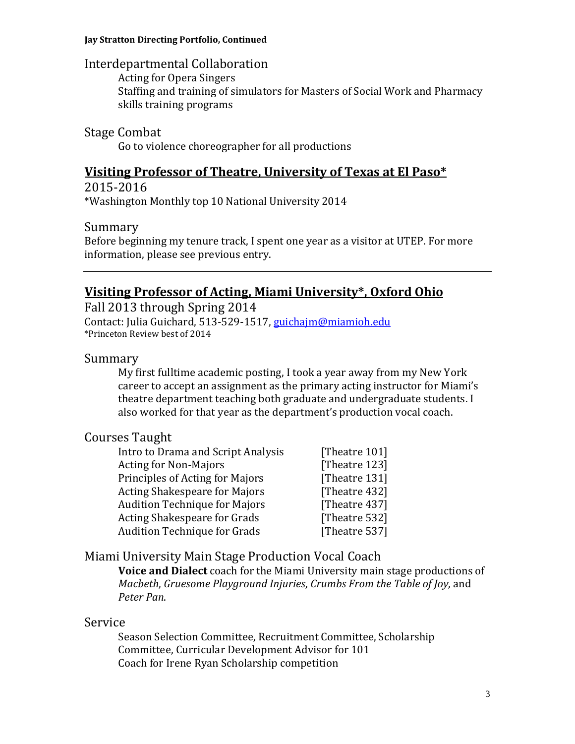#### **Jay Stratton Directing Portfolio, Continued**

#### Interdepartmental Collaboration

Acting for Opera Singers Staffing and training of simulators for Masters of Social Work and Pharmacy skills training programs

#### Stage Combat

Go to violence choreographer for all productions

## **Visiting Professor of Theatre, University of Texas at El Paso\***

2015-2016 \*Washington Monthly top 10 National University 2014

#### Summary

Before beginning my tenure track, I spent one year as a visitor at UTEP. For more information, please see previous entry.

## **Visiting Professor of Acting, Miami University\*, Oxford Ohio**

Fall 2013 through Spring 2014 Contact: Julia Guichard, 513-529-1517, [guichajm@miamioh.edu](mailto:guichajm@miamioh.edu) \*Princeton Review best of 2014

#### Summary

My first fulltime academic posting, I took a year away from my New York career to accept an assignment as the primary acting instructor for Miami's theatre department teaching both graduate and undergraduate students. I also worked for that year as the department's production vocal coach.

### Courses Taught

| Intro to Drama and Script Analysis   | [Theatre 101] |
|--------------------------------------|---------------|
| <b>Acting for Non-Majors</b>         | [Theatre 123] |
| Principles of Acting for Majors      | [Theatre 131] |
| <b>Acting Shakespeare for Majors</b> | [Theatre 432] |
| <b>Audition Technique for Majors</b> | [Theatre 437] |
| Acting Shakespeare for Grads         | [Theatre 532] |
| <b>Audition Technique for Grads</b>  | [Theatre 537] |
|                                      |               |

### Miami University Main Stage Production Vocal Coach

**Voice and Dialect** coach for the Miami University main stage productions of *Macbeth*, *Gruesome Playground Injuries*, *Crumbs From the Table of Joy*, and *Peter Pan*.

#### Service

Season Selection Committee, Recruitment Committee, Scholarship Committee, Curricular Development Advisor for 101 Coach for Irene Ryan Scholarship competition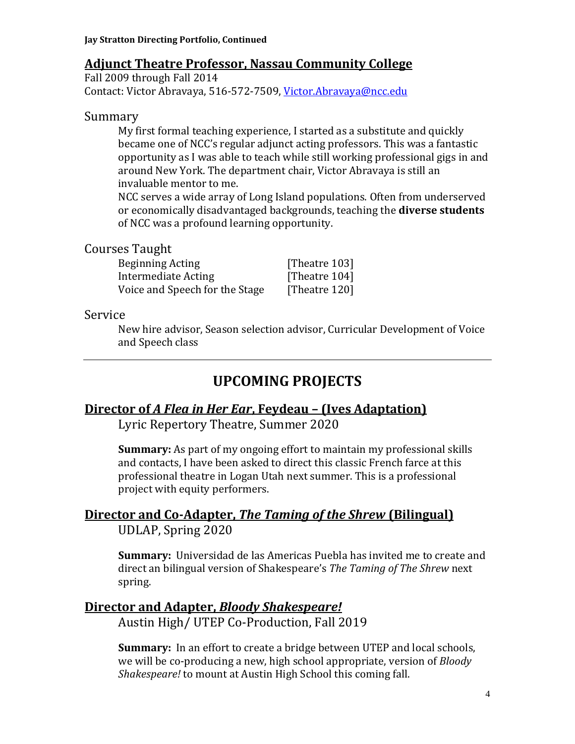### **Adjunct Theatre Professor, Nassau Community College**

Fall 2009 through Fall 2014 Contact: Victor Abravaya, 516-572-7509, [Victor.Abravaya@ncc.edu](mailto:Victor.Abravaya@ncc.edu)

#### Summary

My first formal teaching experience, I started as a substitute and quickly became one of NCC's regular adjunct acting professors. This was a fantastic opportunity as I was able to teach while still working professional gigs in and around New York. The department chair, Victor Abravaya is still an invaluable mentor to me.

NCC serves a wide array of Long Island populations. Often from underserved or economically disadvantaged backgrounds, teaching the **diverse students** of NCC was a profound learning opportunity.

#### Courses Taught

| Beginning Acting               | [Theatre 103] |
|--------------------------------|---------------|
| Intermediate Acting            | [Theatre 104] |
| Voice and Speech for the Stage | [Theatre 120] |

#### Service

New hire advisor, Season selection advisor, Curricular Development of Voice and Speech class

## **UPCOMING PROJECTS**

### **Director of** *A Flea in Her Ear***, Feydeau – (Ives Adaptation)**

Lyric Repertory Theatre, Summer 2020

**Summary:** As part of my ongoing effort to maintain my professional skills and contacts, I have been asked to direct this classic French farce at this professional theatre in Logan Utah next summer. This is a professional project with equity performers.

## **Director and Co-Adapter,** *The Taming of the Shrew* **(Bilingual)**

UDLAP, Spring 2020

**Summary:** Universidad de las Americas Puebla has invited me to create and direct an bilingual version of Shakespeare's *The Taming of The Shrew* next spring.

### **Director and Adapter,** *Bloody Shakespeare!*

Austin High/ UTEP Co-Production, Fall 2019

**Summary:** In an effort to create a bridge between UTEP and local schools, we will be co-producing a new, high school appropriate, version of *Bloody Shakespeare!* to mount at Austin High School this coming fall.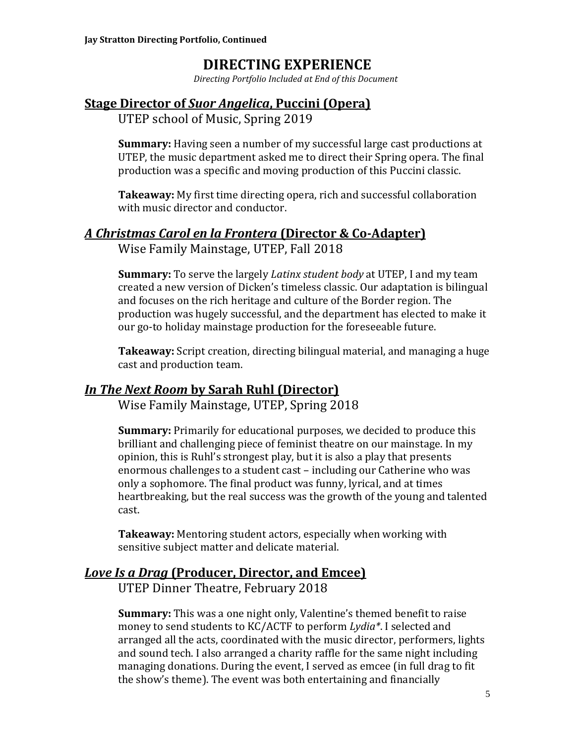## **DIRECTING EXPERIENCE**

*Directing Portfolio Included at End of this Document*

## **Stage Director of** *Suor Angelica***, Puccini (Opera)**

UTEP school of Music, Spring 2019

**Summary:** Having seen a number of my successful large cast productions at UTEP, the music department asked me to direct their Spring opera. The final production was a specific and moving production of this Puccini classic.

**Takeaway:** My first time directing opera, rich and successful collaboration with music director and conductor.

## *A Christmas Carol en la Frontera* **(Director & Co-Adapter)**

Wise Family Mainstage, UTEP, Fall 2018

**Summary:** To serve the largely *Latinx student body* at UTEP, I and my team created a new version of Dicken's timeless classic. Our adaptation is bilingual and focuses on the rich heritage and culture of the Border region. The production was hugely successful, and the department has elected to make it our go-to holiday mainstage production for the foreseeable future.

**Takeaway:** Script creation, directing bilingual material, and managing a huge cast and production team.

## *In The Next Room* **by Sarah Ruhl (Director)**

Wise Family Mainstage, UTEP, Spring 2018

**Summary:** Primarily for educational purposes, we decided to produce this brilliant and challenging piece of feminist theatre on our mainstage. In my opinion, this is Ruhl's strongest play, but it is also a play that presents enormous challenges to a student cast – including our Catherine who was only a sophomore. The final product was funny, lyrical, and at times heartbreaking, but the real success was the growth of the young and talented cast.

**Takeaway:** Mentoring student actors, especially when working with sensitive subject matter and delicate material.

## *Love Is a Drag* **(Producer, Director, and Emcee)**

UTEP Dinner Theatre, February 2018

**Summary:** This was a one night only, Valentine's themed benefit to raise money to send students to KC/ACTF to perform *Lydia\**. I selected and arranged all the acts, coordinated with the music director, performers, lights and sound tech. I also arranged a charity raffle for the same night including managing donations. During the event, I served as emcee (in full drag to fit the show's theme). The event was both entertaining and financially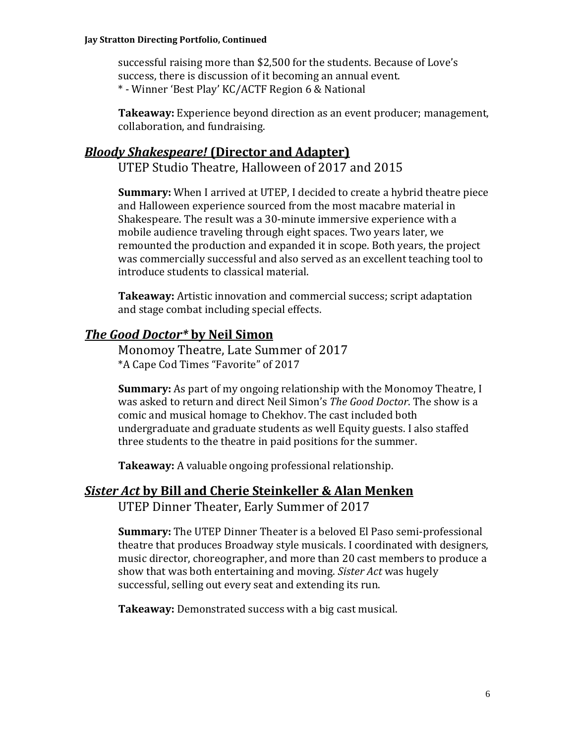#### **Jay Stratton Directing Portfolio, Continued**

successful raising more than \$2,500 for the students. Because of Love's success, there is discussion of it becoming an annual event. \* - Winner 'Best Play' KC/ACTF Region 6 & National

**Takeaway:** Experience beyond direction as an event producer; management, collaboration, and fundraising.

#### *Bloody Shakespeare!* **(Director and Adapter)**

UTEP Studio Theatre, Halloween of 2017 and 2015

**Summary:** When I arrived at UTEP, I decided to create a hybrid theatre piece and Halloween experience sourced from the most macabre material in Shakespeare. The result was a 30-minute immersive experience with a mobile audience traveling through eight spaces. Two years later, we remounted the production and expanded it in scope. Both years, the project was commercially successful and also served as an excellent teaching tool to introduce students to classical material.

**Takeaway:** Artistic innovation and commercial success; script adaptation and stage combat including special effects.

#### *The Good Doctor\** **by Neil Simon**

Monomoy Theatre, Late Summer of 2017 \*A Cape Cod Times "Favorite" of 2017

**Summary:** As part of my ongoing relationship with the Monomoy Theatre, I was asked to return and direct Neil Simon's *The Good Doctor*. The show is a comic and musical homage to Chekhov. The cast included both undergraduate and graduate students as well Equity guests. I also staffed three students to the theatre in paid positions for the summer.

**Takeaway:** A valuable ongoing professional relationship.

#### *Sister Act* **by Bill and Cherie Steinkeller & Alan Menken**

UTEP Dinner Theater, Early Summer of 2017

**Summary:** The UTEP Dinner Theater is a beloved El Paso semi-professional theatre that produces Broadway style musicals. I coordinated with designers, music director, choreographer, and more than 20 cast members to produce a show that was both entertaining and moving. *Sister Act* was hugely successful, selling out every seat and extending its run.

**Takeaway:** Demonstrated success with a big cast musical.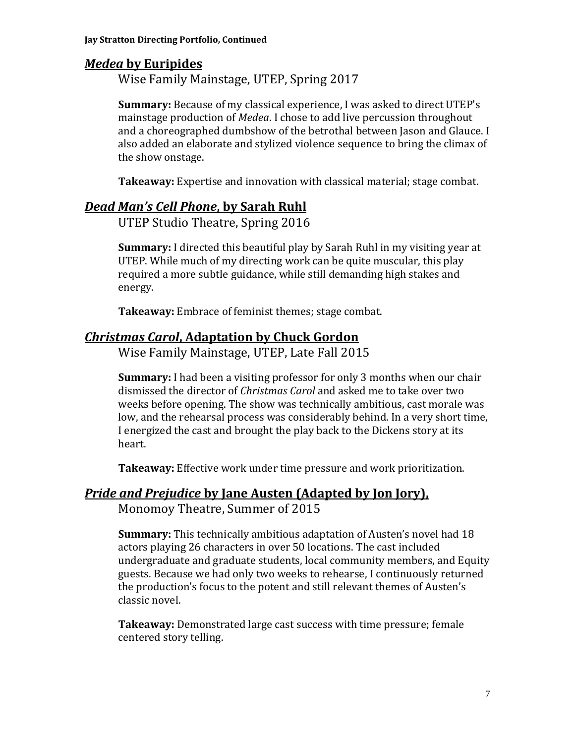## *Medea* **by Euripides**

Wise Family Mainstage, UTEP, Spring 2017

**Summary:** Because of my classical experience, I was asked to direct UTEP's mainstage production of *Medea*. I chose to add live percussion throughout and a choreographed dumbshow of the betrothal between Jason and Glauce. I also added an elaborate and stylized violence sequence to bring the climax of the show onstage.

**Takeaway:** Expertise and innovation with classical material; stage combat.

### *Dead Man's Cell Phone***, by Sarah Ruhl**

UTEP Studio Theatre, Spring 2016

**Summary:** I directed this beautiful play by Sarah Ruhl in my visiting year at UTEP. While much of my directing work can be quite muscular, this play required a more subtle guidance, while still demanding high stakes and energy.

**Takeaway:** Embrace of feminist themes; stage combat.

## *Christmas Carol***, Adaptation by Chuck Gordon**

Wise Family Mainstage, UTEP, Late Fall 2015

**Summary:** I had been a visiting professor for only 3 months when our chair dismissed the director of *Christmas Carol* and asked me to take over two weeks before opening. The show was technically ambitious, cast morale was low, and the rehearsal process was considerably behind. In a very short time, I energized the cast and brought the play back to the Dickens story at its heart.

**Takeaway:** Effective work under time pressure and work prioritization.

## *Pride and Prejudice* **by Jane Austen (Adapted by Jon Jory),**

Monomoy Theatre, Summer of 2015

**Summary:** This technically ambitious adaptation of Austen's novel had 18 actors playing 26 characters in over 50 locations. The cast included undergraduate and graduate students, local community members, and Equity guests. Because we had only two weeks to rehearse, I continuously returned the production's focus to the potent and still relevant themes of Austen's classic novel.

**Takeaway:** Demonstrated large cast success with time pressure; female centered story telling.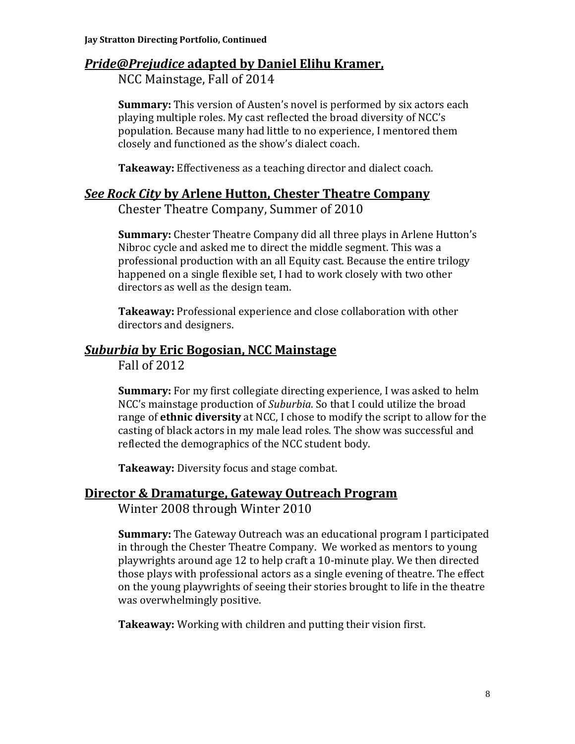## *Pride@Prejudice* **adapted by Daniel Elihu Kramer,**

NCC Mainstage, Fall of 2014

**Summary:** This version of Austen's novel is performed by six actors each playing multiple roles. My cast reflected the broad diversity of NCC's population. Because many had little to no experience, I mentored them closely and functioned as the show's dialect coach.

**Takeaway:** Effectiveness as a teaching director and dialect coach.

#### *See Rock City* **by Arlene Hutton, Chester Theatre Company**

Chester Theatre Company, Summer of 2010

**Summary:** Chester Theatre Company did all three plays in Arlene Hutton's Nibroc cycle and asked me to direct the middle segment. This was a professional production with an all Equity cast. Because the entire trilogy happened on a single flexible set, I had to work closely with two other directors as well as the design team.

**Takeaway:** Professional experience and close collaboration with other directors and designers.

## *Suburbia* **by Eric Bogosian, NCC Mainstage**

Fall of 2012

**Summary:** For my first collegiate directing experience, I was asked to helm NCC's mainstage production of *Suburbia*. So that I could utilize the broad range of **ethnic diversity** at NCC, I chose to modify the script to allow for the casting of black actors in my male lead roles. The show was successful and reflected the demographics of the NCC student body.

**Takeaway:** Diversity focus and stage combat.

### **Director & Dramaturge, Gateway Outreach Program**

Winter 2008 through Winter 2010

**Summary:** The Gateway Outreach was an educational program I participated in through the Chester Theatre Company. We worked as mentors to young playwrights around age 12 to help craft a 10-minute play. We then directed those plays with professional actors as a single evening of theatre. The effect on the young playwrights of seeing their stories brought to life in the theatre was overwhelmingly positive.

**Takeaway:** Working with children and putting their vision first.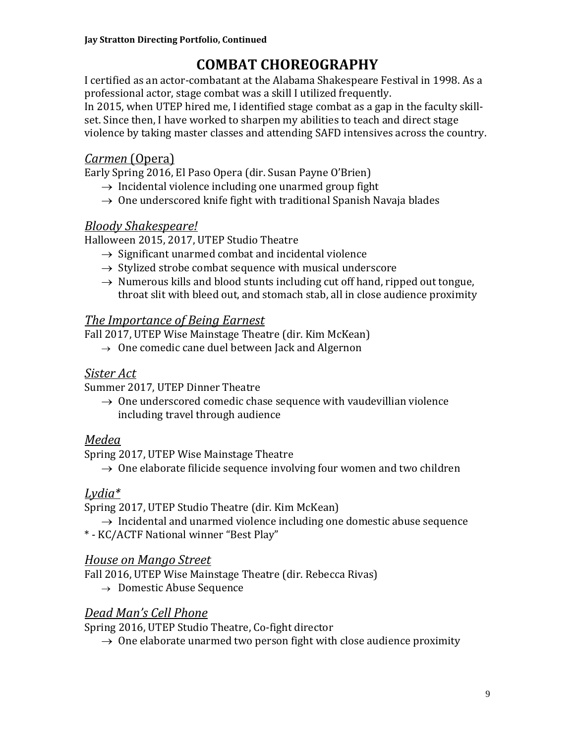## **COMBAT CHOREOGRAPHY**

I certified as an actor-combatant at the Alabama Shakespeare Festival in 1998. As a professional actor, stage combat was a skill I utilized frequently. In 2015, when UTEP hired me, I identified stage combat as a gap in the faculty skillset. Since then, I have worked to sharpen my abilities to teach and direct stage violence by taking master classes and attending SAFD intensives across the country.

## *Carmen* (Opera)

Early Spring 2016, El Paso Opera (dir. Susan Payne O'Brien)

- $\rightarrow$  Incidental violence including one unarmed group fight
- $\rightarrow$  One underscored knife fight with traditional Spanish Navaja blades

### *Bloody Shakespeare!*

Halloween 2015, 2017, UTEP Studio Theatre

- $\rightarrow$  Significant unarmed combat and incidental violence
- $\rightarrow$  Stylized strobe combat sequence with musical underscore
- $\rightarrow$  Numerous kills and blood stunts including cut off hand, ripped out tongue, throat slit with bleed out, and stomach stab, all in close audience proximity

### *The Importance of Being Earnest*

Fall 2017, UTEP Wise Mainstage Theatre (dir. Kim McKean)

 $\rightarrow$  One comedic cane duel between Jack and Algernon

### *Sister Act*

Summer 2017, UTEP Dinner Theatre

 $\rightarrow$  One underscored comedic chase sequence with vaudevillian violence including travel through audience

### *Medea*

Spring 2017, UTEP Wise Mainstage Theatre

 $\rightarrow$  One elaborate filicide sequence involving four women and two children

## *Lydia\**

Spring 2017, UTEP Studio Theatre (dir. Kim McKean)

 $\rightarrow$  Incidental and unarmed violence including one domestic abuse sequence

\* - KC/ACTF National winner "Best Play"

## *House on Mango Street*

Fall 2016, UTEP Wise Mainstage Theatre (dir. Rebecca Rivas)

 $\rightarrow$  Domestic Abuse Sequence

## *Dead Man's Cell Phone*

Spring 2016, UTEP Studio Theatre, Co-fight director

 $\rightarrow$  0ne elaborate unarmed two person fight with close audience proximity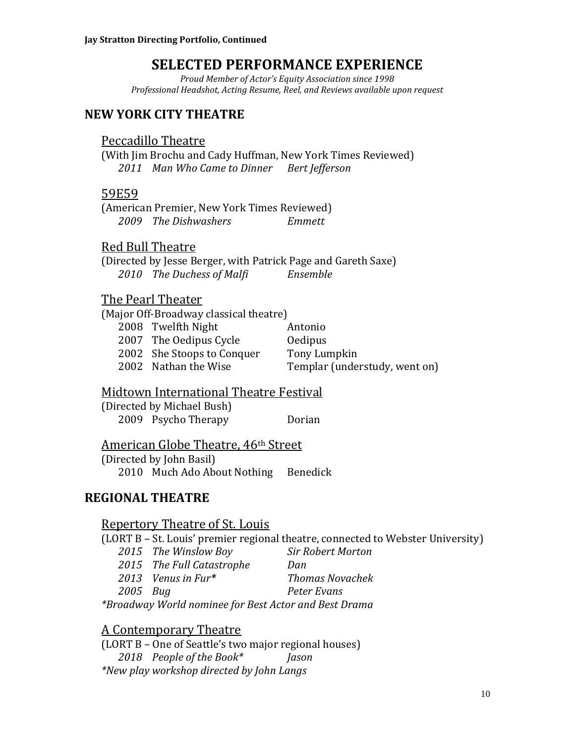## **SELECTED PERFORMANCE EXPERIENCE**

*Proud Member of Actor's Equity Association since 1998 Professional Headshot, Acting Resume, Reel, and Reviews available upon request*

### **NEW YORK CITY THEATRE**

#### Peccadillo Theatre

(With Jim Brochu and Cady Huffman, New York Times Reviewed) *2011 Man Who Came to Dinner Bert Jefferson*

#### 59E59

(American Premier, New York Times Reviewed) *2009 The Dishwashers Emmett*

#### Red Bull Theatre

(Directed by Jesse Berger, with Patrick Page and Gareth Saxe) *2010 The Duchess of Malfi Ensemble*

#### The Pearl Theater

(Major Off-Broadway classical theatre) 2008 Twelfth Night Antonio 2007 The Oedipus Cycle **Oedipus** 2002 She Stoops to Conquer Tony Lumpkin 2002 Nathan the Wise Templar (understudy, went on)

#### Midtown International Theatre Festival

(Directed by Michael Bush) 2009 Psycho Therapy Dorian

#### American Globe Theatre, 46th Street

(Directed by John Basil) 2010 Much Ado About Nothing Benedick

### **REGIONAL THEATRE**

#### Repertory Theatre of St. Louis

(LORT B – St. Louis' premier regional theatre, connected to Webster University)

- *2015 The Winslow Boy Sir Robert Morton*
- *2015 The Full Catastrophe Dan*
- *2013 Venus in Fur\* Thomas Novachek*
- *2005 Bug Peter Evans*

*\*Broadway World nominee for Best Actor and Best Drama*

#### A Contemporary Theatre

(LORT B – One of Seattle's two major regional houses) *2018 People of the Book\* Jason \*New play workshop directed by John Langs*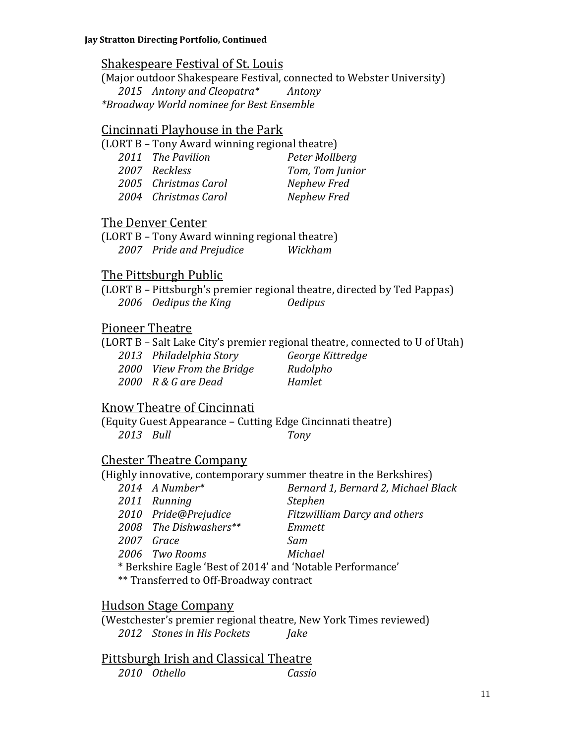### Shakespeare Festival of St. Louis

(Major outdoor Shakespeare Festival, connected to Webster University) *2015 Antony and Cleopatra\* Antony \*Broadway World nominee for Best Ensemble*

#### Cincinnati Playhouse in the Park

(LORT B – Tony Award winning regional theatre)

| 2011 The Pavilion    | Peter Mollberg  |
|----------------------|-----------------|
| 2007 Reckless        | Tom, Tom Junior |
| 2005 Christmas Carol | Nephew Fred     |
| 2004 Christmas Carol | Nephew Fred     |

#### The Denver Center

(LORT B – Tony Award winning regional theatre) *2007 Pride and Prejudice Wickham*

## The Pittsburgh Public

(LORT B – Pittsburgh's premier regional theatre, directed by Ted Pappas) *2006 Oedipus the King Oedipus*

## Pioneer Theatre

(LORT B – Salt Lake City's premier regional theatre, connected to U of Utah) *2013 Philadelphia Story George Kittredge* 2000 *View From the Bridge* Rudolpho

*2000 R & G are Dead Hamlet*

## Know Theatre of Cincinnati

(Equity Guest Appearance – Cutting Edge Cincinnati theatre) *2013 Bull Tony*

## Chester Theatre Company

(Highly innovative, contemporary summer theatre in the Berkshires)

| $2014$ A Number*                                                                                                                                                                                                                                                                              | Bernard 1, Bernard 2, Michael Black |
|-----------------------------------------------------------------------------------------------------------------------------------------------------------------------------------------------------------------------------------------------------------------------------------------------|-------------------------------------|
| 2011 Running                                                                                                                                                                                                                                                                                  | <b>Stephen</b>                      |
| 2010 Pride@Prejudice                                                                                                                                                                                                                                                                          | <b>Fitzwilliam Darcy and others</b> |
| 2008 The Dishwashers**                                                                                                                                                                                                                                                                        | Emmett                              |
| 2007 Grace                                                                                                                                                                                                                                                                                    | Sam                                 |
| 2006 Two Rooms                                                                                                                                                                                                                                                                                | Michael                             |
| * Berkshire Eagle 'Best of 2014' and 'Notable Performance'                                                                                                                                                                                                                                    |                                     |
| $\frac{1}{2}$ and $\frac{1}{2}$ and $\frac{1}{2}$ and $\frac{1}{2}$ and $\frac{1}{2}$ and $\frac{1}{2}$ and $\frac{1}{2}$ and $\frac{1}{2}$ and $\frac{1}{2}$ and $\frac{1}{2}$ and $\frac{1}{2}$ and $\frac{1}{2}$ and $\frac{1}{2}$ and $\frac{1}{2}$ and $\frac{1}{2}$ and $\frac{1}{2}$ a |                                     |

\*\* Transferred to Off-Broadway contract

### Hudson Stage Company

(Westchester's premier regional theatre, New York Times reviewed) *2012 Stones in His Pockets Jake*

|              | Pittsburgh Irish and Classical Theatre |        |
|--------------|----------------------------------------|--------|
| 2010 Othello |                                        | Cassio |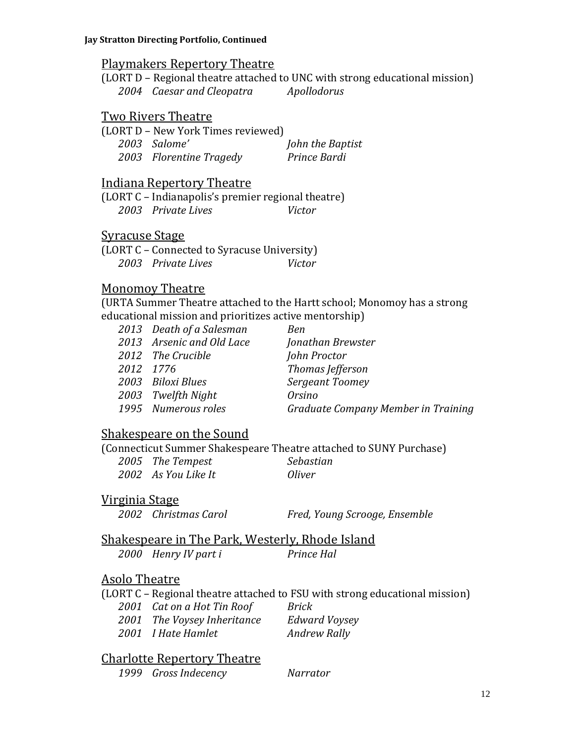#### Playmakers Repertory Theatre

(LORT D – Regional theatre attached to UNC with strong educational mission) *2004 Caesar and Cleopatra Apollodorus*

#### Two Rivers Theatre

| (LORT D - New York Times reviewed) |                  |
|------------------------------------|------------------|
| 2003 Salome'                       | John the Baptist |
| 2003 Florentine Tragedy            | Prince Bardi     |

#### Indiana Repertory Theatre

(LORT C – Indianapolis's premier regional theatre) *2003 Private Lives Victor*

#### Syracuse Stage

(LORT C – Connected to Syracuse University) *2003 Private Lives Victor*

#### Monomoy Theatre

(URTA Summer Theatre attached to the Hartt school; Monomoy has a strong educational mission and prioritizes active mentorship)

| 2013 Death of a Salesman  | Ben                                 |
|---------------------------|-------------------------------------|
| 2013 Arsenic and Old Lace | Jonathan Brewster                   |
| 2012 The Crucible         | John Proctor                        |
| 2012 1776                 | Thomas Jefferson                    |
| 2003 Biloxi Blues         | Sergeant Toomey                     |
| 2003 Twelfth Night        | <i>Orsino</i>                       |
| 1995 Numerous roles       | Graduate Company Member in Training |
|                           |                                     |

#### Shakespeare on the Sound

(Connecticut Summer Shakespeare Theatre attached to SUNY Purchase)

*2005 The Tempest Sebastian 2002 As You Like It Oliver*

#### Virginia Stage

*2002 Christmas Carol Fred, Young Scrooge, Ensemble*

## Shakespeare in The Park, Westerly, Rhode Island

*2000 Henry IV part i Prince Hal*

### Asolo Theatre

(LORT C – Regional theatre attached to FSU with strong educational mission)

| 2001 Cat on a Hot Tin Roof  | Brick                |
|-----------------------------|----------------------|
| 2001 The Voysey Inheritance | <b>Edward Voysey</b> |

*2001 I Hate Hamlet Andrew Rally*

#### Charlotte Repertory Theatre

*1999 Gross Indecency Narrator*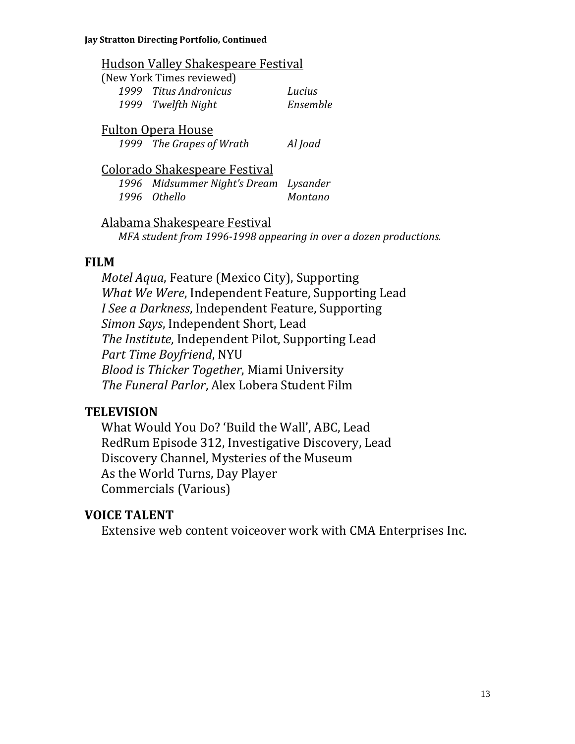### Hudson Valley Shakespeare Festival

| (New York Times reviewed) |          |
|---------------------------|----------|
| 1999 Titus Andronicus     | Lucius   |
| 1999 Twelfth Night        | Ensemble |

### Fulton Opera House

*1999 The Grapes of Wrath Al Joad*

## Colorado Shakespeare Festival

*1996 Midsummer Night's Dream Lysander 1996 Othello Montano*

Alabama Shakespeare Festival *MFA student from 1996-1998 appearing in over a dozen productions.*

## **FILM**

*Motel Aqua*, Feature (Mexico City), Supporting *What We Were*, Independent Feature, Supporting Lead *I See a Darkness*, Independent Feature, Supporting *Simon Says*, Independent Short, Lead *The Institute*, Independent Pilot, Supporting Lead *Part Time Boyfriend*, NYU *Blood is Thicker Together*, Miami University *The Funeral Parlor*, Alex Lobera Student Film

## **TELEVISION**

What Would You Do? 'Build the Wall', ABC, Lead RedRum Episode 312, Investigative Discovery, Lead Discovery Channel, Mysteries of the Museum As the World Turns, Day Player Commercials (Various)

## **VOICE TALENT**

Extensive web content voiceover work with CMA Enterprises Inc.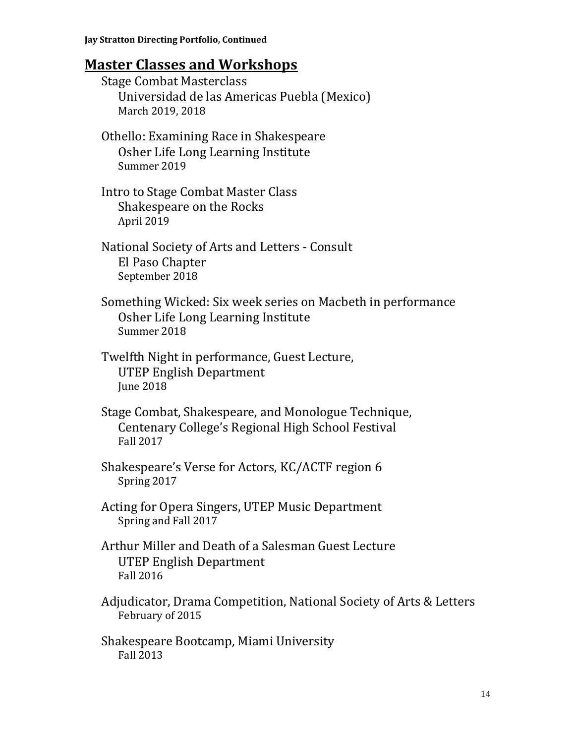## **Master Classes and Workshops**

| <b>Stage Combat Masterclass</b><br>Universidad de las Americas Puebla (Mexico)<br>March 2019, 2018                           |
|------------------------------------------------------------------------------------------------------------------------------|
| Othello: Examining Race in Shakespeare<br>Osher Life Long Learning Institute<br>Summer 2019                                  |
| Intro to Stage Combat Master Class<br><b>Shakespeare on the Rocks</b><br>April 2019                                          |
| National Society of Arts and Letters - Consult<br>El Paso Chapter<br>September 2018                                          |
| Something Wicked: Six week series on Macbeth in performance<br>Osher Life Long Learning Institute<br>Summer 2018             |
| Twelfth Night in performance, Guest Lecture,<br><b>UTEP English Department</b><br><b>June 2018</b>                           |
| Stage Combat, Shakespeare, and Monologue Technique,<br>Centenary College's Regional High School Festival<br><b>Fall 2017</b> |
| Shakespeare's Verse for Actors, KC/ACTF region 6<br>Spring 2017                                                              |
| Acting for Opera Singers, UTEP Music Department<br>Spring and Fall 2017                                                      |
| Arthur Miller and Death of a Salesman Guest Lecture<br>UTEP English Department<br><b>Fall 2016</b>                           |
| Adjudicator, Drama Competition, National Society of Arts & Letters<br>February of 2015                                       |
| Shakespeare Bootcamp, Miami University                                                                                       |

Fall 2013